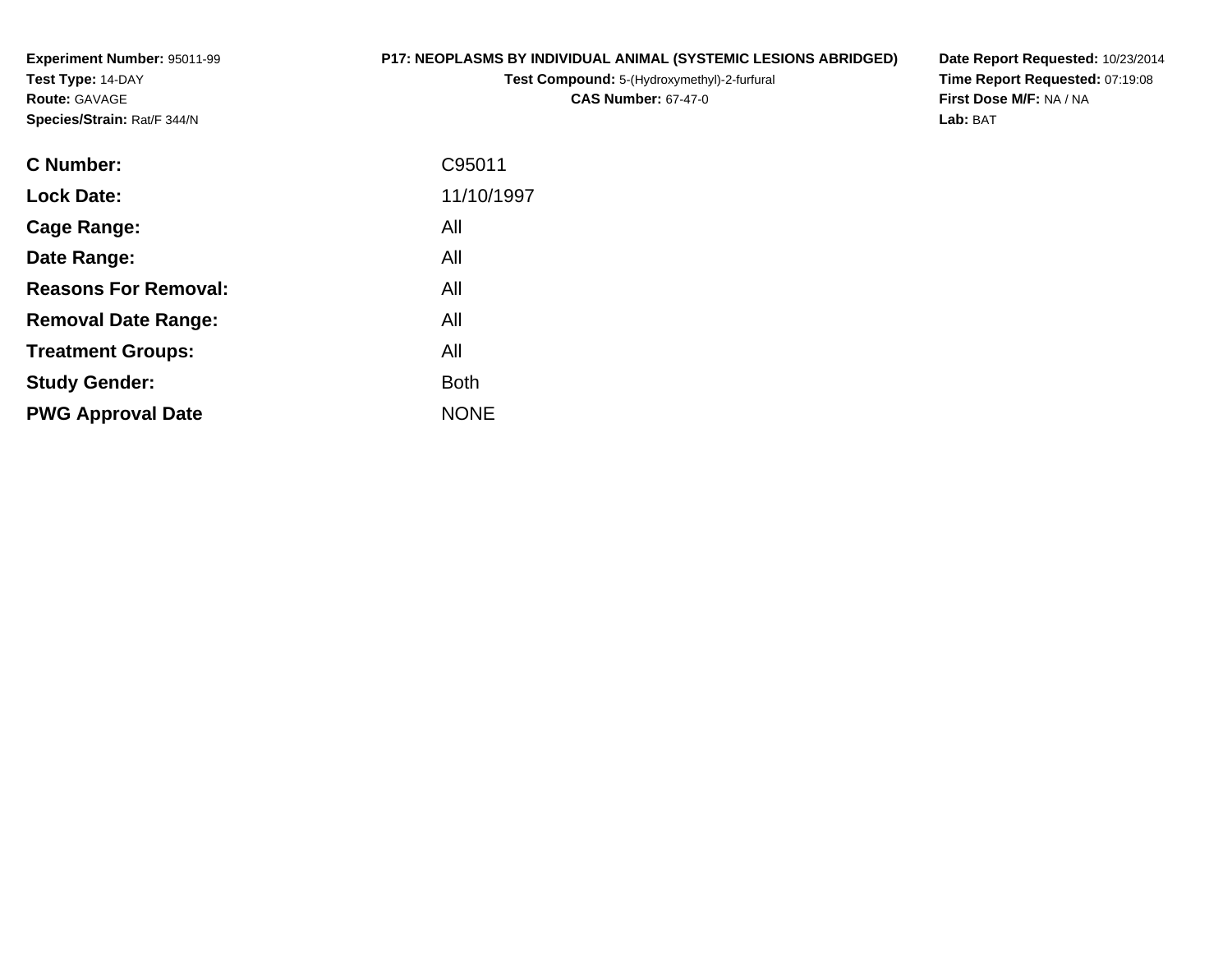**Experiment Number:** 95011-99**Test Type:** 14-DAY**Route:** GAVAGE**Species/Strain:** Rat/F 344/N

#### **P17: NEOPLASMS BY INDIVIDUAL ANIMAL (SYSTEMIC LESIONS ABRIDGED)**

**Test Compound:** 5-(Hydroxymethyl)-2-furfural **CAS Number:** 67-47-0

**Date Report Requested:** 10/23/2014 **Time Report Requested:** 07:19:08**First Dose M/F:** NA / NA**Lab:** BAT

| <b>C</b> Number:            | C95011      |
|-----------------------------|-------------|
| <b>Lock Date:</b>           | 11/10/1997  |
| Cage Range:                 | All         |
| Date Range:                 | All         |
| <b>Reasons For Removal:</b> | All         |
| <b>Removal Date Range:</b>  | All         |
| <b>Treatment Groups:</b>    | All         |
| <b>Study Gender:</b>        | <b>Both</b> |
| <b>PWG Approval Date</b>    | <b>NONE</b> |
|                             |             |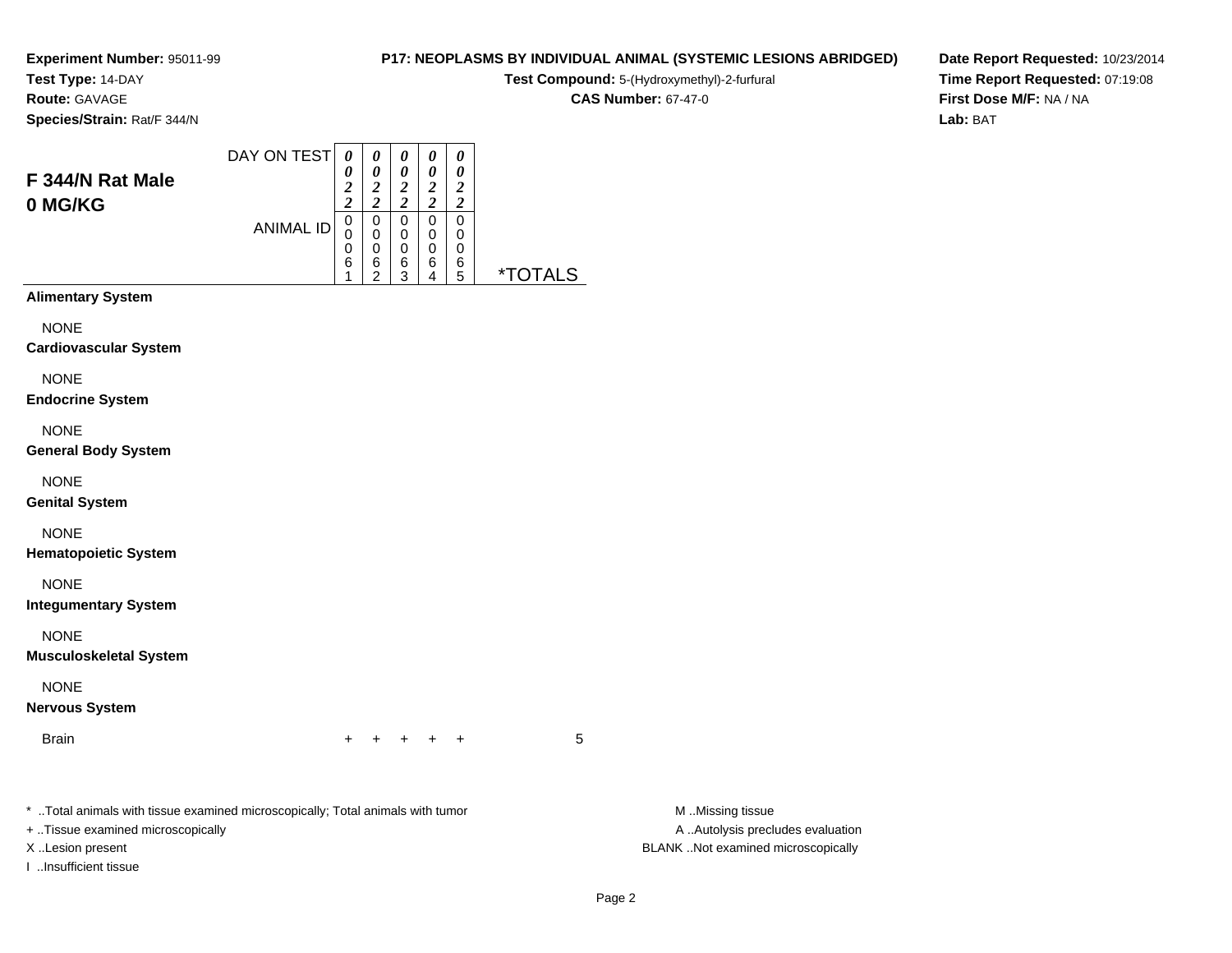# **Test Type:** 14-DAY

**Route:** GAVAGE

**Species/Strain:** Rat/F 344/N

| F 344/N Rat Male<br>0 MG/KG | DAY ON TEST      | $\boldsymbol{\theta}$<br>ി<br>∠<br><u>า</u> | 0<br>0<br>$\overline{2}$<br>2 | 0<br>0<br>2<br>2 | 0<br>∍      | 0<br>0<br>2<br>2 |  |
|-----------------------------|------------------|---------------------------------------------|-------------------------------|------------------|-------------|------------------|--|
|                             | <b>ANIMAL ID</b> | 0<br>0<br>0<br>6                            | 0<br>0<br>0<br>6              | 0<br>0<br>0<br>6 | 0<br>0<br>6 | 0<br>0<br>6      |  |
|                             |                  |                                             | າ                             | 3                |             | 5                |  |

**Alimentary System**

NONE

**Cardiovascular System**

NONE

**Endocrine System**

NONE

**General Body System**

NONE

**Genital System**

NONE

**Hematopoietic System**

NONE

**Integumentary System**

NONE

**Musculoskeletal System**

NONE

**Nervous System**

Brainn  $+$ 

<sup>+</sup> <sup>+</sup> <sup>+</sup> <sup>+</sup> <sup>5</sup>

\* ..Total animals with tissue examined microscopically; Total animals with tumor **M** ..Missing tissue M ..Missing tissue

+ ..Tissue examined microscopically

I ..Insufficient tissue

A .. Autolysis precludes evaluation X ..Lesion present BLANK ..Not examined microscopically

Page 2

**Date Report Requested:** 10/23/2014**Time Report Requested:** 07:19:08**First Dose M/F:** NA / NA**Lab:** BAT

### **P17: NEOPLASMS BY INDIVIDUAL ANIMAL (SYSTEMIC LESIONS ABRIDGED)**

**Test Compound:** 5-(Hydroxymethyl)-2-furfural

**CAS Number:** 67-47-0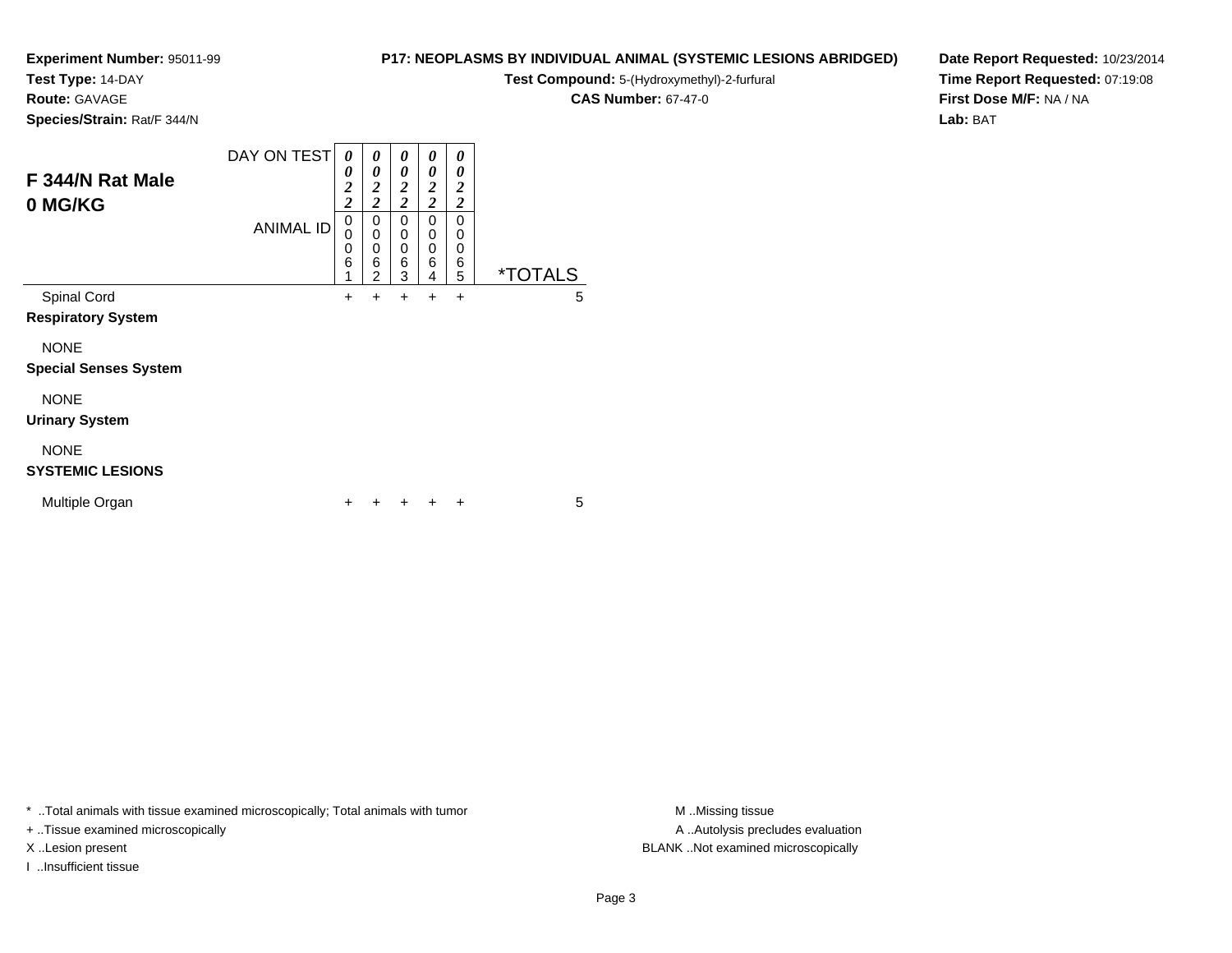**Test Type:** 14-DAY

## **Route:** GAVAGE

**Species/Strain:** Rat/F 344/N

| F 344/N Rat Male<br>0 MG/KG  | DAY ON TEST<br><b>ANIMAL ID</b> | 0<br>0<br>$\overline{\mathbf{c}}$<br>$\overline{\mathbf{c}}$<br>0 | 0<br>$\boldsymbol{\theta}$<br>$\frac{2}{2}$<br>0<br>$\mathbf 0$ | 0<br>0<br>$\boldsymbol{2}$<br>$\overline{2}$<br>0<br>0 | 0<br>0<br>$\boldsymbol{2}$<br>$\overline{2}$<br>0<br>0 | 0<br>0<br>$\overline{2}$<br>$\boldsymbol{2}$<br>0<br>0 |                       |
|------------------------------|---------------------------------|-------------------------------------------------------------------|-----------------------------------------------------------------|--------------------------------------------------------|--------------------------------------------------------|--------------------------------------------------------|-----------------------|
|                              |                                 | 0<br>6<br>1                                                       | $\mathbf 0$<br>6<br>$\overline{2}$                              | $\mathbf 0$<br>6<br>3                                  | $\mathbf 0$<br>6<br>4                                  | 0<br>6<br>5                                            | <i><b>*TOTALS</b></i> |
| Spinal Cord                  |                                 | $\ddot{}$                                                         | +                                                               | $\ddot{}$                                              | +                                                      | $\ddot{}$                                              | 5                     |
| <b>Respiratory System</b>    |                                 |                                                                   |                                                                 |                                                        |                                                        |                                                        |                       |
| <b>NONE</b>                  |                                 |                                                                   |                                                                 |                                                        |                                                        |                                                        |                       |
| <b>Special Senses System</b> |                                 |                                                                   |                                                                 |                                                        |                                                        |                                                        |                       |
| <b>NONE</b>                  |                                 |                                                                   |                                                                 |                                                        |                                                        |                                                        |                       |
| <b>Urinary System</b>        |                                 |                                                                   |                                                                 |                                                        |                                                        |                                                        |                       |
| <b>NONE</b>                  |                                 |                                                                   |                                                                 |                                                        |                                                        |                                                        |                       |
| <b>SYSTEMIC LESIONS</b>      |                                 |                                                                   |                                                                 |                                                        |                                                        |                                                        |                       |
| Multiple Organ               |                                 | ٠                                                                 | ٠                                                               |                                                        |                                                        | ÷                                                      | 5                     |

\* ..Total animals with tissue examined microscopically; Total animals with tumor **M** . Missing tissue M ..Missing tissue

+ ..Tissue examined microscopically

I ..Insufficient tissue

**P17: NEOPLASMS BY INDIVIDUAL ANIMAL (SYSTEMIC LESIONS ABRIDGED)**

**Test Compound:** 5-(Hydroxymethyl)-2-furfural

**CAS Number:** 67-47-0

**Date Report Requested:** 10/23/2014**Time Report Requested:** 07:19:08**First Dose M/F:** NA / NA**Lab:** BAT

A ..Autolysis precludes evaluation X ..Lesion present BLANK ..Not examined microscopically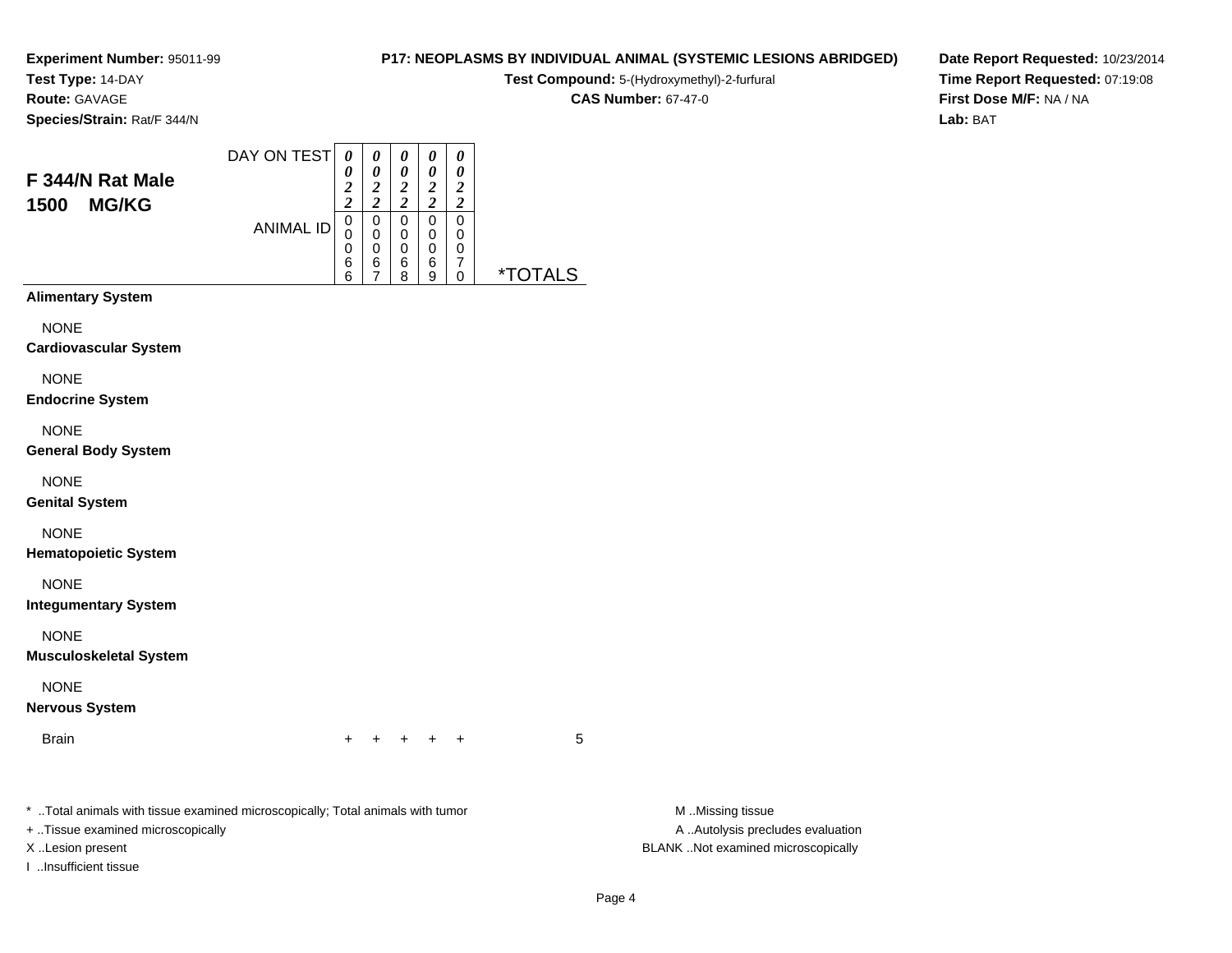**Test Type:** 14-DAY

**Route:** GAVAGE

**Species/Strain:** Rat/F 344/N

#### DAY ON TEST**F 344/N Rat Male1500 MG/KG**ANIMAL ID*0 0 2 2* 0 0*0 0 2 2* 0 0 0*0 0 2 2* 0 0*0 0 2 2* 0 0*0 0 2 2* 00

0 6 6

6 7

 06 8  06 9 0<br>7<br>^

0 \*TOTALS

**Alimentary System**

**NONE** 

**Cardiovascular System**

NONE

**Endocrine System**

NONE

**General Body System**

NONE

**Genital System**

NONE

**Hematopoietic System**

NONE

**Integumentary System**

NONE

**Musculoskeletal System**

NONE

**Nervous System**

**Brain** n  $+$ 

<sup>+</sup> <sup>+</sup> <sup>+</sup> <sup>+</sup> <sup>5</sup>

\* ..Total animals with tissue examined microscopically; Total animals with tumor **M** ..Missing tissue M ..Missing tissue

+ ..Tissue examined microscopically

I ..Insufficient tissue

A ..Autolysis precludes evaluation X ..Lesion present BLANK ..Not examined microscopically

**Test Compound:** 5-(Hydroxymethyl)-2-furfural **CAS Number:** 67-47-0

**P17: NEOPLASMS BY INDIVIDUAL ANIMAL (SYSTEMIC LESIONS ABRIDGED)Date Report Requested:** 10/23/2014**Time Report Requested:** 07:19:08**First Dose M/F:** NA / NA

**Lab:** BAT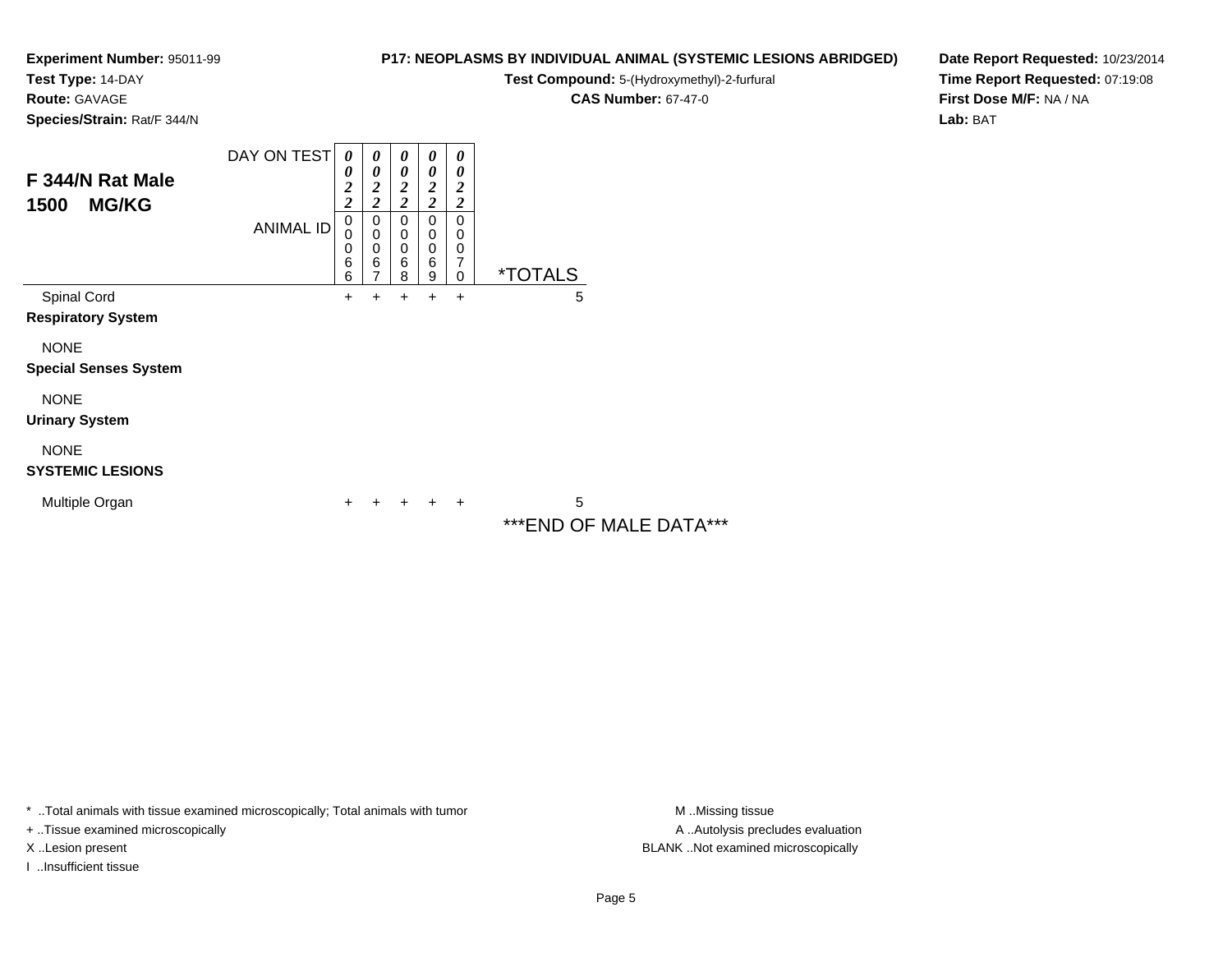**Test Type:** 14-DAY

**Route:** GAVAGE

**Species/Strain:** Rat/F 344/N

#### **P17: NEOPLASMS BY INDIVIDUAL ANIMAL (SYSTEMIC LESIONS ABRIDGED)**

**Test Compound:** 5-(Hydroxymethyl)-2-furfural

**CAS Number:** 67-47-0

**Date Report Requested:** 10/23/2014**Time Report Requested:** 07:19:08**First Dose M/F:** NA / NA**Lab:** BAT

| F 344/N Rat Male<br>1500<br><b>MG/KG</b>    | DAY ON TEST      | 0<br>0<br>$\overline{\mathbf{c}}$<br>$\overline{\mathbf{c}}$<br>$\mathbf 0$ | 0<br>0<br>$\overline{\mathbf{c}}$<br>$\overline{\mathbf{c}}$<br>0 | $\boldsymbol{\theta}$<br>0<br>$\boldsymbol{2}$<br>$\overline{2}$<br>0 | 0<br>$\boldsymbol{\theta}$<br>2<br>$\boldsymbol{2}$<br>0 | $\boldsymbol{\theta}$<br>$\boldsymbol{\theta}$<br>$\boldsymbol{2}$<br>$\overline{2}$<br>$\mathbf 0$ |                              |
|---------------------------------------------|------------------|-----------------------------------------------------------------------------|-------------------------------------------------------------------|-----------------------------------------------------------------------|----------------------------------------------------------|-----------------------------------------------------------------------------------------------------|------------------------------|
|                                             | <b>ANIMAL ID</b> | 0<br>0<br>6<br>6                                                            | $\mathbf 0$<br>$\mathbf 0$<br>6<br>$\overline{ }$                 | $\mathbf 0$<br>$\mathbf 0$<br>6<br>8                                  | 0<br>$\mathbf 0$<br>6<br>9                               | 0<br>$\mathbf 0$<br>7<br>$\mathbf 0$                                                                | <i><b>*TOTALS</b></i>        |
| Spinal Cord<br><b>Respiratory System</b>    |                  | ٠                                                                           | +                                                                 | ٠                                                                     | +                                                        | $\ddot{}$                                                                                           | 5                            |
| <b>NONE</b><br><b>Special Senses System</b> |                  |                                                                             |                                                                   |                                                                       |                                                          |                                                                                                     |                              |
| <b>NONE</b><br><b>Urinary System</b>        |                  |                                                                             |                                                                   |                                                                       |                                                          |                                                                                                     |                              |
| <b>NONE</b><br><b>SYSTEMIC LESIONS</b>      |                  |                                                                             |                                                                   |                                                                       |                                                          |                                                                                                     |                              |
| Multiple Organ                              |                  | +                                                                           |                                                                   |                                                                       |                                                          | ÷                                                                                                   | 5<br>*** END OF MALE DATA*** |

\* ..Total animals with tissue examined microscopically; Total animals with tumor **M** . Missing tissue M ..Missing tissue

+ ..Tissue examined microscopically

I ..Insufficient tissue

A ..Autolysis precludes evaluation X ..Lesion present BLANK ..Not examined microscopically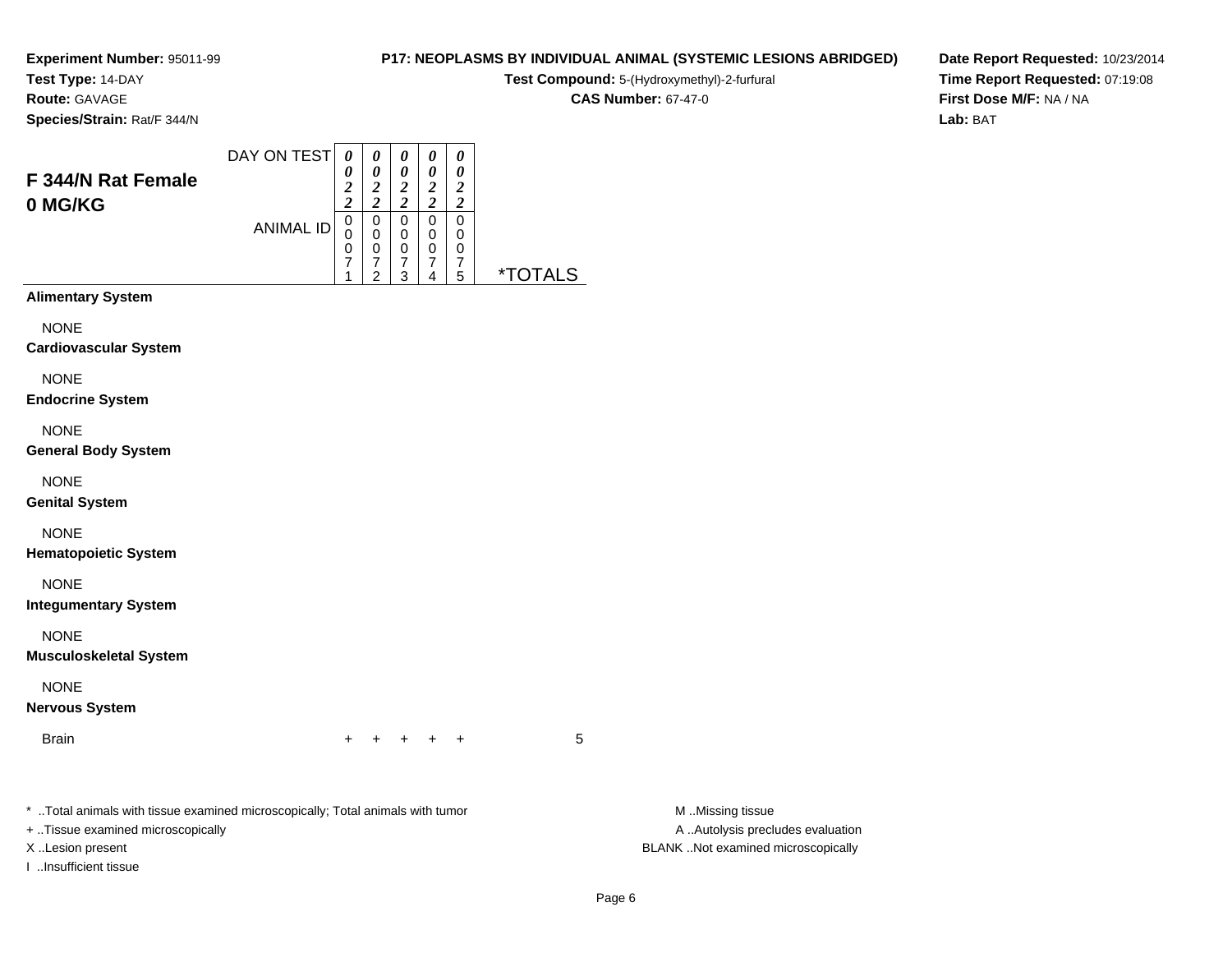# **Test Type:** 14-DAY

**Route:** GAVAGE

**Species/Strain:** Rat/F 344/N

#### **P17: NEOPLASMS BY INDIVIDUAL ANIMAL (SYSTEMIC LESIONS ABRIDGED)**

**Test Compound:** 5-(Hydroxymethyl)-2-furfural

**CAS Number:** 67-47-0

**Date Report Requested:** 10/23/2014**Time Report Requested:** 07:19:08**First Dose M/F:** NA / NA**Lab:** BAT

| <b>F344/N Rat Female</b><br>0 MG/KG | DAY ON TEST<br><b>ANIMAL ID</b> | 0<br>0<br>$\overline{2}$<br>$\overline{c}$<br>0<br>0<br>0<br>7<br>4 | 0<br>0<br>$\overline{\mathbf{2}}$<br>$\overline{\mathbf{c}}$<br>0<br>0<br>0<br>7<br>2 | 0<br>0<br>2<br>$\overline{c}$<br>0<br>0<br>0<br>7<br>3 | 0<br>0<br>2<br>2<br>0<br>0<br>0<br>7<br>4 | 0<br>0<br>2<br>$\overline{\mathbf{c}}$<br>0<br>0<br>0<br>7<br>5 | $\mathbf{r}$<br>l S |
|-------------------------------------|---------------------------------|---------------------------------------------------------------------|---------------------------------------------------------------------------------------|--------------------------------------------------------|-------------------------------------------|-----------------------------------------------------------------|---------------------|
| <b>Alimentary System</b>            |                                 |                                                                     |                                                                                       |                                                        |                                           |                                                                 |                     |
| <b>NONE</b>                         |                                 |                                                                     |                                                                                       |                                                        |                                           |                                                                 |                     |
| <b>Cardiovascular System</b>        |                                 |                                                                     |                                                                                       |                                                        |                                           |                                                                 |                     |
| $\cdots$                            |                                 |                                                                     |                                                                                       |                                                        |                                           |                                                                 |                     |

NONE

**Endocrine System**

NONE

**General Body System**

NONE

**Genital System**

NONE

**Hematopoietic System**

NONE

**Integumentary System**

NONE

**Musculoskeletal System**

NONE

**Nervous System**

Brainn  $+$ 

<sup>+</sup> <sup>+</sup> <sup>+</sup> <sup>+</sup> <sup>5</sup>

\* ..Total animals with tissue examined microscopically; Total animals with tumor **M** ...Missing tissue M ...Missing tissue

+ ..Tissue examined microscopically

I ..Insufficient tissue

A .. Autolysis precludes evaluation X ..Lesion present BLANK ..Not examined microscopically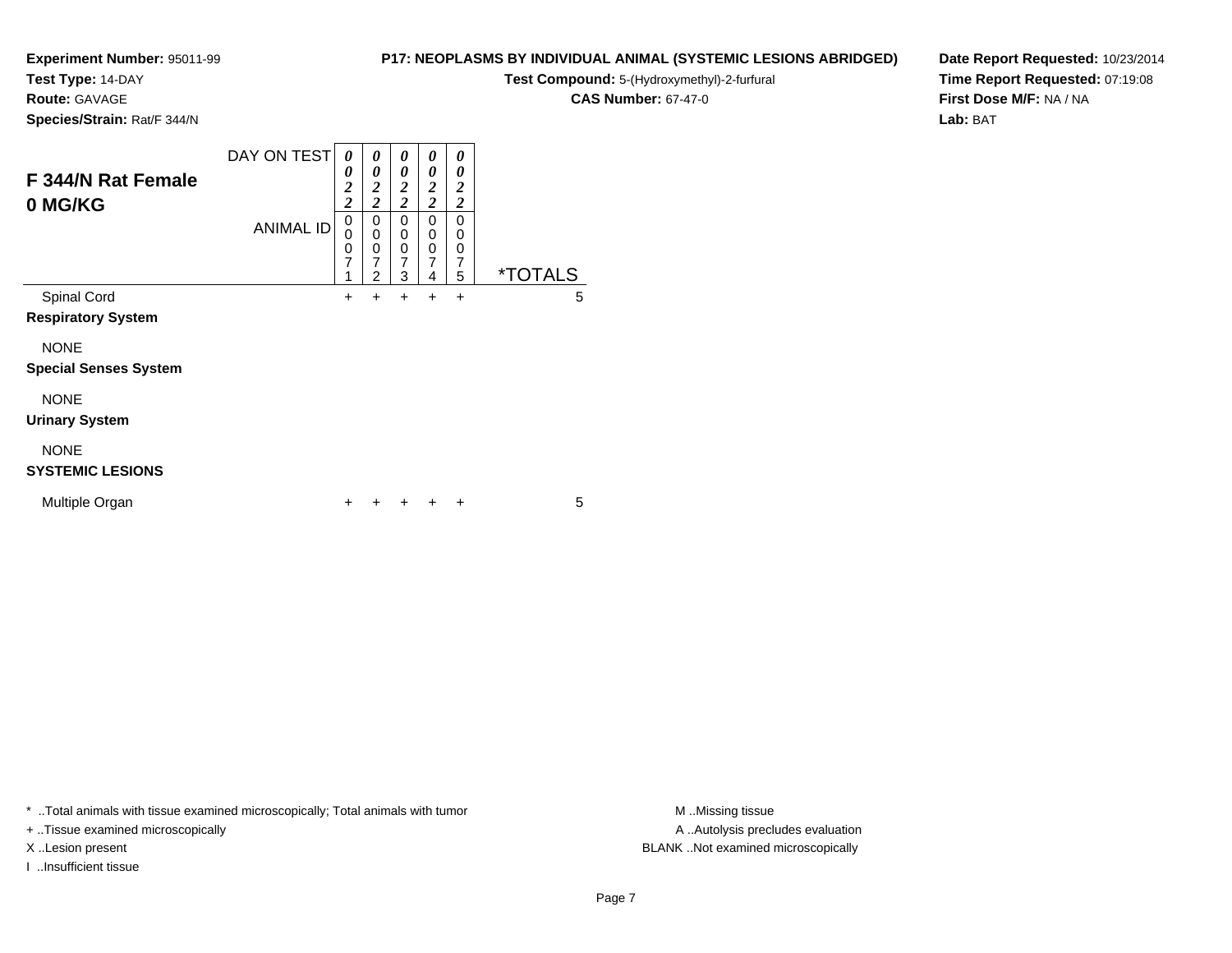**Test Type:** 14-DAY

**Route:** GAVAGE

**Species/Strain:** Rat/F 344/N

| F 344/N Rat Female<br>0 MG/KG          | DAY ON TEST      | 0<br>0<br>$\overline{\mathbf{c}}$<br>$\overline{\mathbf{c}}$ | 0<br>0<br>$\boldsymbol{2}$<br>$\overline{2}$ | 0<br>0<br>$\boldsymbol{2}$<br>$\overline{2}$ | 0<br>0<br>$\boldsymbol{2}$<br>$\overline{c}$ | 0<br>0<br>$\boldsymbol{2}$<br>$\overline{\mathbf{c}}$ |                       |
|----------------------------------------|------------------|--------------------------------------------------------------|----------------------------------------------|----------------------------------------------|----------------------------------------------|-------------------------------------------------------|-----------------------|
|                                        | <b>ANIMAL ID</b> | $\mathbf 0$<br>$\mathbf 0$<br>$\frac{0}{7}$<br>1             | 0<br>0<br>0<br>$\overline{7}$<br>2           | 0<br>0<br>0<br>$\overline{7}$<br>3           | 0<br>0<br>0<br>$\overline{7}$<br>4           | 0<br>0<br>0<br>7<br>5                                 | <i><b>*TOTALS</b></i> |
| Spinal Cord                            |                  | $\ddot{}$                                                    | $\ddot{}$                                    | +                                            | $\ddot{}$                                    | $\ddot{}$                                             | 5                     |
| <b>Respiratory System</b>              |                  |                                                              |                                              |                                              |                                              |                                                       |                       |
| <b>NONE</b>                            |                  |                                                              |                                              |                                              |                                              |                                                       |                       |
| <b>Special Senses System</b>           |                  |                                                              |                                              |                                              |                                              |                                                       |                       |
| <b>NONE</b>                            |                  |                                                              |                                              |                                              |                                              |                                                       |                       |
| <b>Urinary System</b>                  |                  |                                                              |                                              |                                              |                                              |                                                       |                       |
| <b>NONE</b><br><b>SYSTEMIC LESIONS</b> |                  |                                                              |                                              |                                              |                                              |                                                       |                       |
| Multiple Organ                         |                  | +                                                            | ÷                                            | ÷                                            | $\pm$                                        | $\ddot{}$                                             | 5                     |

\* ..Total animals with tissue examined microscopically; Total animals with tumor **M** . Missing tissue M ..Missing tissue

n  $+$ 

+ ..Tissue examined microscopically

X ..Lesion present BLANK ..Not examined microscopically

I ..Insufficient tissue

**P17: NEOPLASMS BY INDIVIDUAL ANIMAL (SYSTEMIC LESIONS ABRIDGED)**

**Test Compound:** 5-(Hydroxymethyl)-2-furfural

**CAS Number:** 67-47-0

**Date Report Requested:** 10/23/2014**Time Report Requested:** 07:19:08**First Dose M/F:** NA / NA**Lab:** BAT

A ..Autolysis precludes evaluation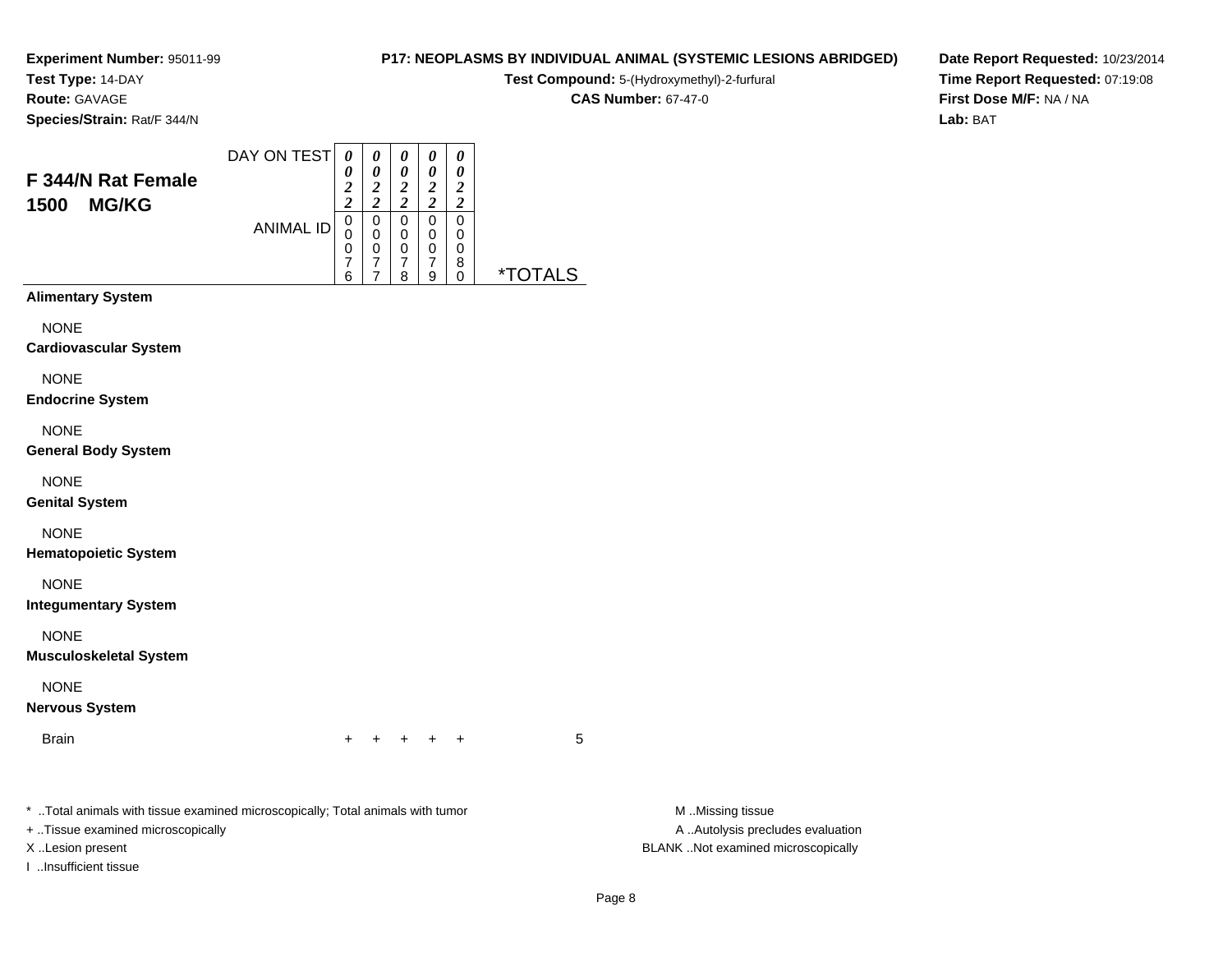**Test Type:** 14-DAY

**Route:** GAVAGE

**Species/Strain:** Rat/F 344/N

#### **P17: NEOPLASMS BY INDIVIDUAL ANIMAL (SYSTEMIC LESIONS ABRIDGED)**

**Test Compound:** 5-(Hydroxymethyl)-2-furfural

**CAS Number:** 67-47-0

**Date Report Requested:** 10/23/2014**Time Report Requested:** 07:19:08**First Dose M/F:** NA / NA**Lab:** BAT

| F 344/N Rat Female<br><b>MG/KG</b><br>1500                                                                        | DAY ON TEST<br><b>ANIMAL ID</b> | 0<br>0<br>$\overline{\mathbf{c}}$<br>$\overline{c}$<br>0<br>$\mathbf 0$<br>0<br>7<br>6 | 0<br>0<br>$\boldsymbol{2}$<br>$\overline{2}$<br>0<br>$\mathbf 0$<br>$\mathbf 0$<br>7<br>7 | 0<br>0<br>$\overline{2}$<br>$\overline{c}$<br>0<br>0<br>0<br>$\overline{7}$<br>8 | 0<br>0<br>2<br>$\overline{2}$<br>0<br>0<br>0<br>7<br>9 | 0<br>0<br>$\overline{2}$<br>$\overline{c}$<br>0<br>0<br>0<br>8<br>$\Omega$ | *TOTA |
|-------------------------------------------------------------------------------------------------------------------|---------------------------------|----------------------------------------------------------------------------------------|-------------------------------------------------------------------------------------------|----------------------------------------------------------------------------------|--------------------------------------------------------|----------------------------------------------------------------------------|-------|
| <b>Alimentary System</b><br><b>NONE</b><br><b>Cardiovascular System</b><br><b>NONE</b><br><b>Endocrine System</b> |                                 |                                                                                        |                                                                                           |                                                                                  |                                                        |                                                                            |       |

NONE

**General Body System**

NONE

**Genital System**

NONE

**Hematopoietic System**

NONE

**Integumentary System**

NONE

**Musculoskeletal System**

NONE

**Nervous System**

Brainn  $+$ 

<sup>+</sup> <sup>+</sup> <sup>+</sup> <sup>+</sup> <sup>5</sup>

\* ..Total animals with tissue examined microscopically; Total animals with tumor **M** ...Missing tissue M ...Missing tissue

+ ..Tissue examined microscopically

I ..Insufficient tissue

A .. Autolysis precludes evaluation X ..Lesion present BLANK ..Not examined microscopically